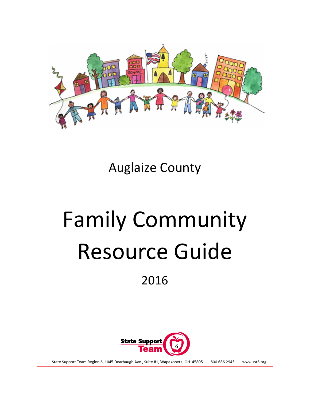

Auglaize County

# Family Community Resource Guide 2016



State Support Team Region 6, 1045 Dearbaugh Ave., Suite #1, Wapakoneta, OH 45895 800.686.2945 www.sst6.org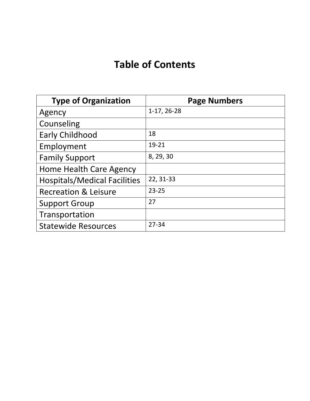# **Table of Contents**

| <b>Type of Organization</b>         | <b>Page Numbers</b> |
|-------------------------------------|---------------------|
| Agency                              | 1-17, 26-28         |
| Counseling                          |                     |
| <b>Early Childhood</b>              | 18                  |
| Employment                          | 19-21               |
| <b>Family Support</b>               | 8, 29, 30           |
| Home Health Care Agency             |                     |
| <b>Hospitals/Medical Facilities</b> | 22, 31-33           |
| <b>Recreation &amp; Leisure</b>     | $23 - 25$           |
| <b>Support Group</b>                | 27                  |
| Transportation                      |                     |
| <b>Statewide Resources</b>          | $27 - 34$           |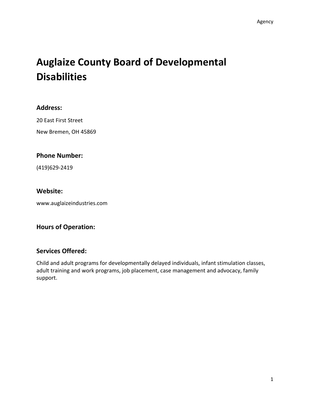# **Auglaize County Board of Developmental Disabilities**

### **Address:**

20 East First Street New Bremen, OH 45869

# **Phone Number:**

(419)629-2419

### **Website:**

www.auglaizeindustries.com

# **Hours of Operation:**

# **Services Offered:**

Child and adult programs for developmentally delayed individuals, infant stimulation classes, adult training and work programs, job placement, case management and advocacy, family support.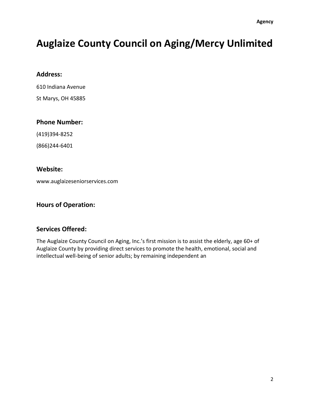# **Auglaize County Council on Aging/Mercy Unlimited**

#### **Address:**

610 Indiana Avenue

St Marys, OH 45885

#### **Phone Number:**

(419)394-8252

(866)244-6401

### **Website:**

www.auglaizeseniorservices.com

# **Hours of Operation:**

# **Services Offered:**

The Auglaize County Council on Aging, Inc.'s first mission is to assist the elderly, age 60+ of Auglaize County by providing direct services to promote the health, emotional, social and intellectual well-being of senior adults; by remaining independent an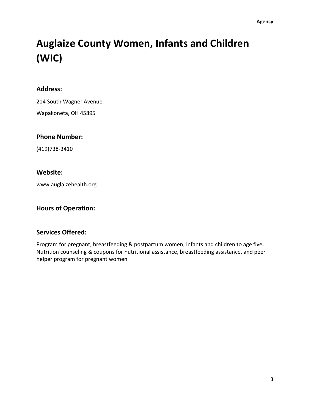# **Auglaize County Women, Infants and Children (WIC)**

### **Address:**

214 South Wagner Avenue

Wapakoneta, OH 45895

#### **Phone Number:**

(419)738-3410

#### **Website:**

www.auglaizehealth.org

### **Hours of Operation:**

#### **Services Offered:**

Program for pregnant, breastfeeding & postpartum women; infants and children to age five, Nutrition counseling & coupons for nutritional assistance, breastfeeding assistance, and peer helper program for pregnant women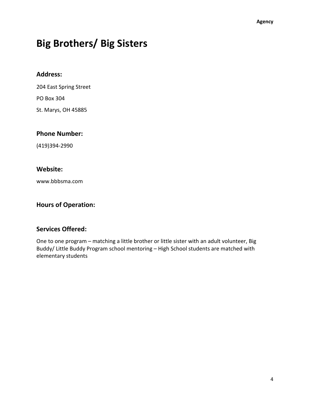# **Big Brothers/ Big Sisters**

#### **Address:**

204 East Spring Street

PO Box 304

St. Marys, OH 45885

#### **Phone Number:**

(419)394-2990

### **Website:**

www.bbbsma.com

#### **Hours of Operation:**

# **Services Offered:**

One to one program – matching a little brother or little sister with an adult volunteer, Big Buddy/ Little Buddy Program school mentoring – High School students are matched with elementary students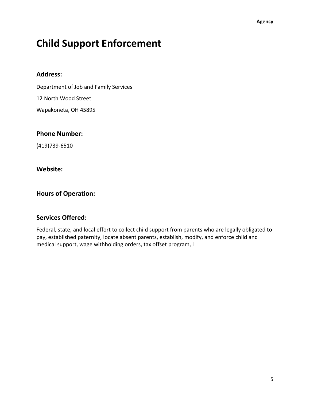# **Child Support Enforcement**

#### **Address:**

Department of Job and Family Services

12 North Wood Street

Wapakoneta, OH 45895

#### **Phone Number:**

(419)739-6510

#### **Website:**

### **Hours of Operation:**

#### **Services Offered:**

Federal, state, and local effort to collect child support from parents who are legally obligated to pay, established paternity, locate absent parents, establish, modify, and enforce child and medical support, wage withholding orders, tax offset program, l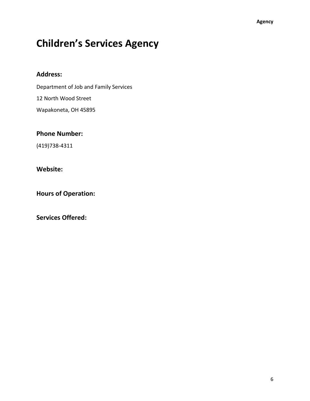# **Children's Services Agency**

#### **Address:**

Department of Job and Family Services 12 North Wood Street

Wapakoneta, OH 45895

### **Phone Number:**

(419)738-4311

### **Website:**

**Hours of Operation:**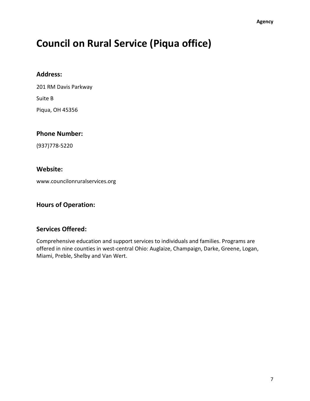# **Council on Rural Service (Piqua office)**

#### **Address:**

201 RM Davis Parkway Suite B

Piqua, OH 45356

#### **Phone Number:**

(937)778-5220

#### **Website:**

www.councilonruralservices.org

#### **Hours of Operation:**

#### **Services Offered:**

Comprehensive education and support services to individuals and families. Programs are offered in nine counties in west-central Ohio: Auglaize, Champaign, Darke, Greene, Logan, Miami, Preble, Shelby and Van Wert.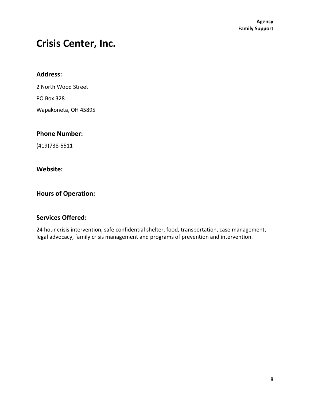# **Crisis Center, Inc.**

#### **Address:**

2 North Wood Street PO Box 328 Wapakoneta, OH 45895

#### **Phone Number:**

(419)738-5511

#### **Website:**

# **Hours of Operation:**

### **Services Offered:**

24 hour crisis intervention, safe confidential shelter, food, transportation, case management, legal advocacy, family crisis management and programs of prevention and intervention.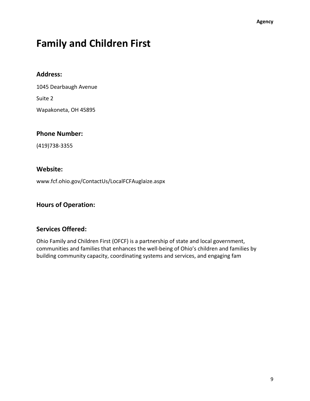# **Family and Children First**

#### **Address:**

1045 Dearbaugh Avenue

Suite 2

Wapakoneta, OH 45895

#### **Phone Number:**

(419)738-3355

#### **Website:**

www.fcf.ohio.gov/ContactUs/LocalFCFAuglaize.aspx

#### **Hours of Operation:**

#### **Services Offered:**

Ohio Family and Children First (OFCF) is a partnership of state and local government, communities and families that enhances the well-being of Ohio's children and families by building community capacity, coordinating systems and services, and engaging fam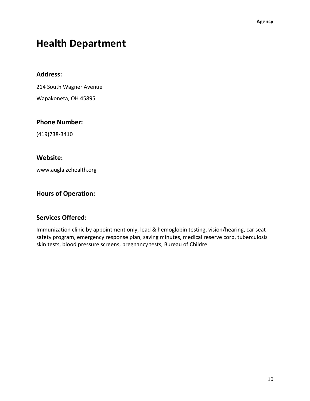# **Health Department**

#### **Address:**

214 South Wagner Avenue

Wapakoneta, OH 45895

#### **Phone Number:**

(419)738-3410

#### **Website:**

www.auglaizehealth.org

# **Hours of Operation:**

#### **Services Offered:**

Immunization clinic by appointment only, lead & hemoglobin testing, vision/hearing, car seat safety program, emergency response plan, saving minutes, medical reserve corp, tuberculosis skin tests, blood pressure screens, pregnancy tests, Bureau of Childre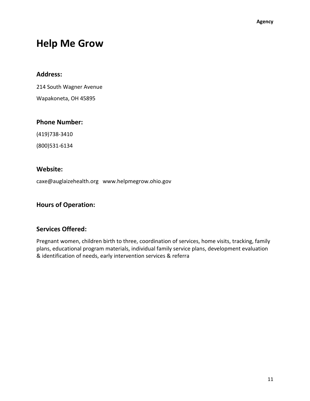# **Help Me Grow**

#### **Address:**

214 South Wagner Avenue

Wapakoneta, OH 45895

#### **Phone Number:**

(419)738-3410

(800)531-6134

#### **Website:**

caxe@auglaizehealth.org www.helpmegrow.ohio.gov

#### **Hours of Operation:**

#### **Services Offered:**

Pregnant women, children birth to three, coordination of services, home visits, tracking, family plans, educational program materials, individual family service plans, development evaluation & identification of needs, early intervention services & referra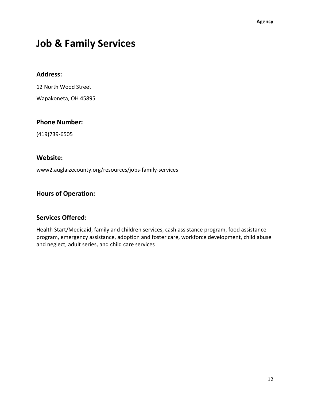# **Job & Family Services**

#### **Address:**

12 North Wood Street

Wapakoneta, OH 45895

#### **Phone Number:**

(419)739-6505

#### **Website:**

www2.auglaizecounty.org/resources/jobs-family-services

# **Hours of Operation:**

#### **Services Offered:**

Health Start/Medicaid, family and children services, cash assistance program, food assistance program, emergency assistance, adoption and foster care, workforce development, child abuse and neglect, adult series, and child care services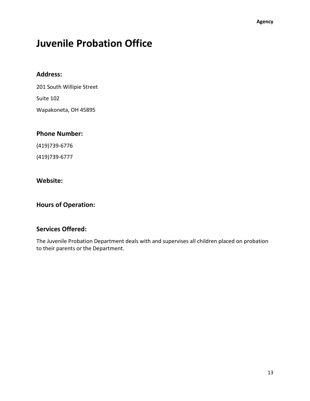# **Juvenile Probation Office**

#### **Address:**

201 South Willipie Street Suite 102 Wapakoneta, OH 45895

# **Phone Number:**

(419)739-6776

(419)739-6777

#### **Website:**

#### **Hours of Operation:**

### **Services Offered:**

The Juvenile Probation Department deals with and supervises all children placed on probation to their parents or the Department.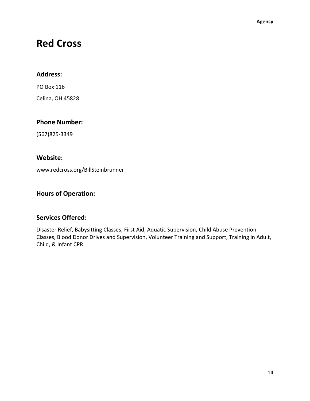# **Red Cross**

### **Address:**

PO Box 116

Celina, OH 45828

### **Phone Number:**

(567)825-3349

### **Website:**

www.redcross.org/BillSteinbrunner

# **Hours of Operation:**

# **Services Offered:**

Disaster Relief, Babysitting Classes, First Aid, Aquatic Supervision, Child Abuse Prevention Classes, Blood Donor Drives and Supervision, Volunteer Training and Support, Training in Adult, Child, & Infant CPR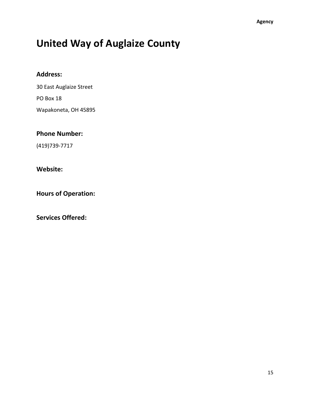# **United Way of Auglaize County**

# **Address:**

30 East Auglaize Street

PO Box 18

Wapakoneta, OH 45895

# **Phone Number:**

(419)739-7717

# **Website:**

**Hours of Operation:**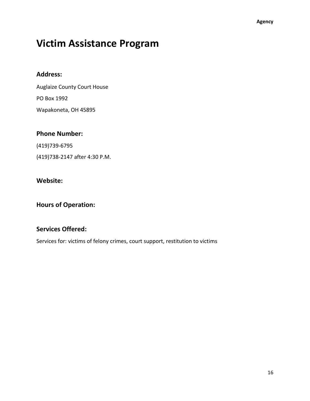# **Victim Assistance Program**

#### **Address:**

Auglaize County Court House PO Box 1992 Wapakoneta, OH 45895

# **Phone Number:**

(419)739-6795

(419)738-2147 after 4:30 P.M.

#### **Website:**

**Hours of Operation:**

# **Services Offered:**

Services for: victims of felony crimes, court support, restitution to victims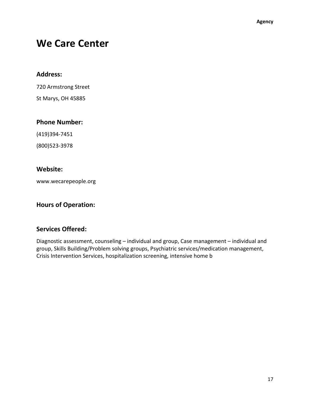# **We Care Center**

#### **Address:**

720 Armstrong Street

St Marys, OH 45885

#### **Phone Number:**

(419)394-7451

(800)523-3978

### **Website:**

www.wecarepeople.org

#### **Hours of Operation:**

# **Services Offered:**

Diagnostic assessment, counseling – individual and group, Case management – individual and group, Skills Building/Problem solving groups, Psychiatric services/medication management, Crisis Intervention Services, hospitalization screening, intensive home b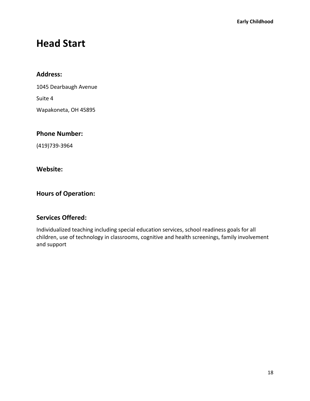# **Head Start**

#### **Address:**

1045 Dearbaugh Avenue

Suite 4

Wapakoneta, OH 45895

#### **Phone Number:**

(419)739-3964

#### **Website:**

# **Hours of Operation:**

#### **Services Offered:**

Individualized teaching including special education services, school readiness goals for all children, use of technology in classrooms, cognitive and health screenings, family involvement and support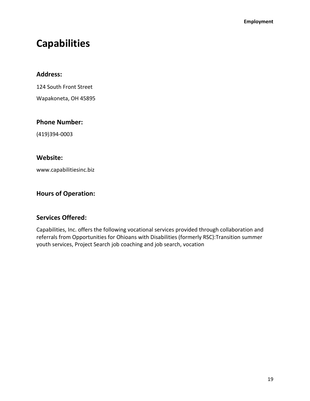# **Capabilities**

#### **Address:**

124 South Front Street

Wapakoneta, OH 45895

#### **Phone Number:**

(419)394-0003

#### **Website:**

www.capabilitiesinc.biz

# **Hours of Operation:**

#### **Services Offered:**

Capabilities, Inc. offers the following vocational services provided through collaboration and referrals from Opportunities for Ohioans with Disabilities (formerly RSC):Transition summer youth services, Project Search job coaching and job search, vocation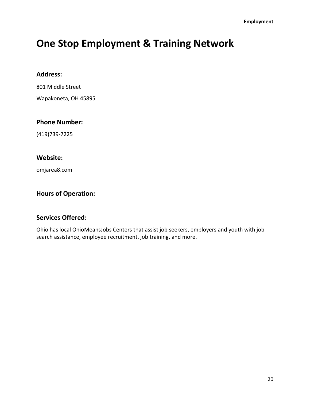# **One Stop Employment & Training Network**

#### **Address:**

801 Middle Street

Wapakoneta, OH 45895

#### **Phone Number:**

(419)739-7225

#### **Website:**

omjarea8.com

# **Hours of Operation:**

#### **Services Offered:**

Ohio has local OhioMeansJobs Centers that assist job seekers, employers and youth with job search assistance, employee recruitment, job training, and more.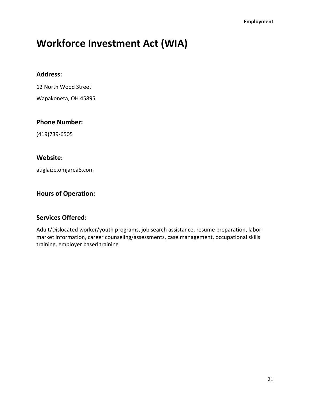# **Workforce Investment Act (WIA)**

#### **Address:**

12 North Wood Street

Wapakoneta, OH 45895

#### **Phone Number:**

(419)739-6505

#### **Website:**

auglaize.omjarea8.com

# **Hours of Operation:**

#### **Services Offered:**

Adult/Dislocated worker/youth programs, job search assistance, resume preparation, labor market information, career counseling/assessments, case management, occupational skills training, employer based training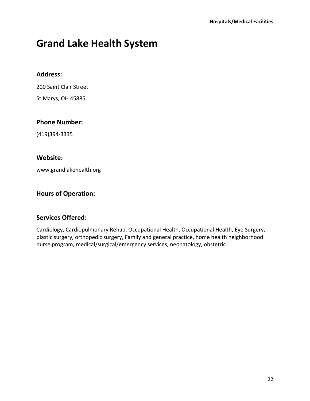# **Grand Lake Health System**

#### **Address:**

200 Saint Clair Street

St Marys, OH 45885

#### **Phone Number:**

(419)394-3335

#### **Website:**

www.grandlakehealth.org

# **Hours of Operation:**

#### **Services Offered:**

Cardiology, Cardiopulmonary Rehab, Occupational Health, Occupational Health, Eye Surgery, plastic surgery, orthopedic surgery, Family and general practice, home health neighborhood nurse program, medical/surgical/emergency services, neonatology, obstetric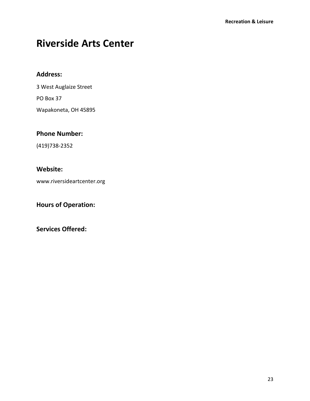# **Riverside Arts Center**

### **Address:**

3 West Auglaize Street

PO Box 37

Wapakoneta, OH 45895

# **Phone Number:**

(419)738-2352

# **Website:**

www.riversideartcenter.org

**Hours of Operation:**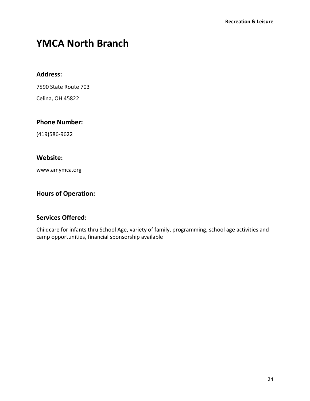# **YMCA North Branch**

#### **Address:**

7590 State Route 703

Celina, OH 45822

#### **Phone Number:**

(419)586-9622

# **Website:**

www.amymca.org

# **Hours of Operation:**

# **Services Offered:**

Childcare for infants thru School Age, variety of family, programming, school age activities and camp opportunities, financial sponsorship available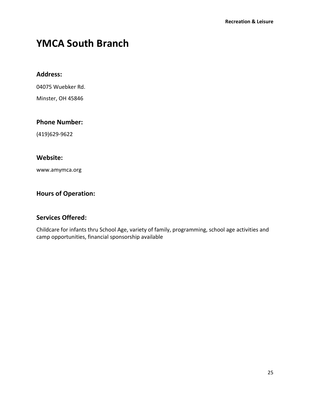# **YMCA South Branch**

#### **Address:**

04075 Wuebker Rd.

Minster, OH 45846

#### **Phone Number:**

(419)629-9622

# **Website:**

www.amymca.org

# **Hours of Operation:**

# **Services Offered:**

Childcare for infants thru School Age, variety of family, programming, school age activities and camp opportunities, financial sponsorship available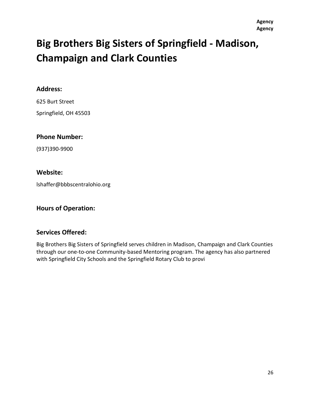# **Big Brothers Big Sisters of Springfield - Madison, Champaign and Clark Counties**

#### **Address:**

625 Burt Street Springfield, OH 45503

#### **Phone Number:**

(937)390-9900

#### **Website:**

lshaffer@bbbscentralohio.org

#### **Hours of Operation:**

#### **Services Offered:**

Big Brothers Big Sisters of Springfield serves children in Madison, Champaign and Clark Counties through our one-to-one Community-based Mentoring program. The agency has also partnered with Springfield City Schools and the Springfield Rotary Club to provi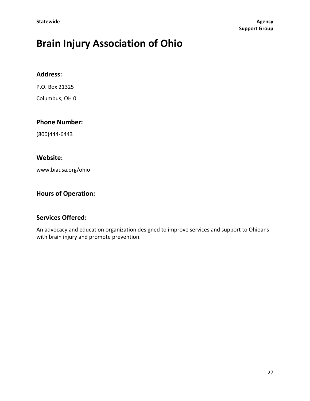# **Brain Injury Association of Ohio**

#### **Address:**

P.O. Box 21325

Columbus, OH 0

#### **Phone Number:**

(800)444-6443

#### **Website:**

www.biausa.org/ohio

# **Hours of Operation:**

# **Services Offered:**

An advocacy and education organization designed to improve services and support to Ohioans with brain injury and promote prevention.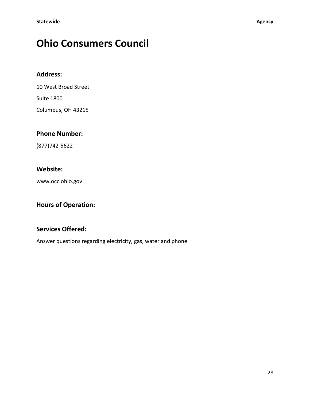# **Ohio Consumers Council**

# **Address:**

10 West Broad Street

Suite 1800

Columbus, OH 43215

# **Phone Number:**

(877)742-5622

### **Website:**

www.occ.ohio.gov

# **Hours of Operation:**

# **Services Offered:**

Answer questions regarding electricity, gas, water and phone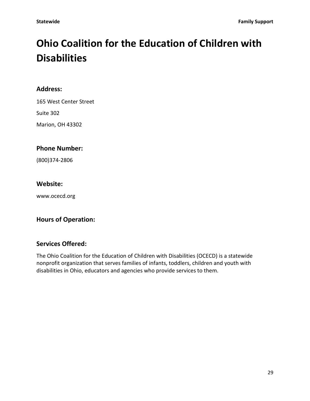# **Ohio Coalition for the Education of Children with Disabilities**

#### **Address:**

165 West Center Street

Suite 302

Marion, OH 43302

### **Phone Number:**

(800)374-2806

#### **Website:**

www.ocecd.org

#### **Hours of Operation:**

#### **Services Offered:**

The Ohio Coalition for the Education of Children with Disabilities (OCECD) is a statewide nonprofit organization that serves families of infants, toddlers, children and youth with disabilities in Ohio, educators and agencies who provide services to them.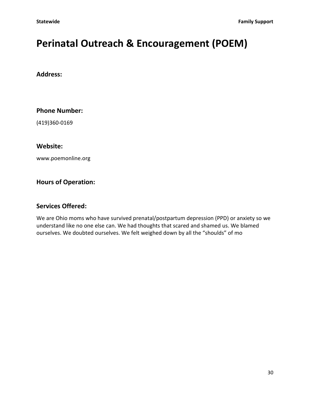# **Perinatal Outreach & Encouragement (POEM)**

#### **Address:**

**Phone Number:**

(419)360-0169

**Website:**

www.poemonline.org

#### **Hours of Operation:**

#### **Services Offered:**

We are Ohio moms who have survived prenatal/postpartum depression (PPD) or anxiety so we understand like no one else can. We had thoughts that scared and shamed us. We blamed ourselves. We doubted ourselves. We felt weighed down by all the "shoulds" of mo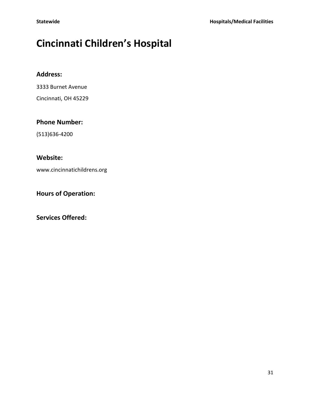# **Cincinnati Children's Hospital**

### **Address:**

3333 Burnet Avenue

Cincinnati, OH 45229

# **Phone Number:**

(513)636-4200

# **Website:**

www.cincinnatichildrens.org

**Hours of Operation:**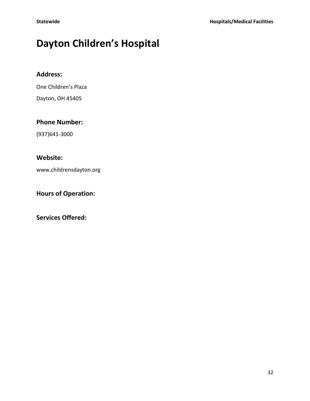# **Dayton Children's Hospital**

# **Address:**

One Children's Plaza

Dayton, OH 45405

# **Phone Number:**

(937)641-3000

# **Website:**

www.childrensdayton.org

# **Hours of Operation:**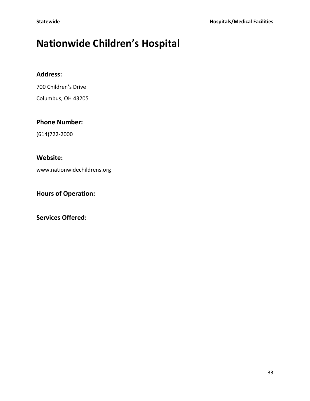# **Nationwide Children's Hospital**

### **Address:**

700 Children's Drive

Columbus, OH 43205

#### **Phone Number:**

(614)722-2000

# **Website:**

www.nationwidechildrens.org

**Hours of Operation:**